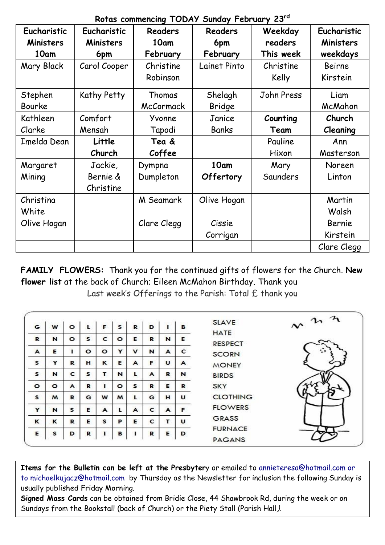| Eucharistic | Eucharistic  | <b>Readers</b> | <b>Readers</b> | Weekday    | Eucharistic      |  |
|-------------|--------------|----------------|----------------|------------|------------------|--|
| Ministers   | Ministers    | 10am           | 6pm            | readers    | <b>Ministers</b> |  |
| 10am        | 6pm          | February       | February       | This week  | weekdays         |  |
| Mary Black  | Carol Cooper | Christine      | Lainet Pinto   | Christine  | <b>Beirne</b>    |  |
|             |              | Robinson       |                | Kelly      | Kirstein         |  |
| Stephen     | Kathy Petty  | Thomas         | Shelagh        | John Press | Liam             |  |
| Bourke      |              | McCormack      | Bridge         |            | McMahon          |  |
| Kathleen    | Comfort      | Yvonne         | Janice         | Counting   | Church           |  |
| Clarke      | Mensah       | Tapodi         | Banks          | Team       | Cleaning         |  |
| Imelda Dean | Little       | Tea &          |                | Pauline    | Ann              |  |
|             | Church       | Coffee         |                | Hixon      | Masterson        |  |
| Margaret    | Jackie,      | Dympna         | 10am           | Mary       | Noreen           |  |
| Mining      | Bernie &     | Dumpleton      | Offertory      | Saunders   | Linton           |  |
|             | Christine    |                |                |            |                  |  |
| Christina   |              | M Seamark      | Olive Hogan    |            | Martin           |  |
| White       |              |                |                |            | Walsh            |  |
| Olive Hogan |              | Clare Clegg    | Cissie         |            | Bernie           |  |
|             |              |                | Corrigan       |            | Kirstein         |  |
|             |              |                |                |            | Clare Clegg      |  |

**Rotas commencing TODAY Sunday February 23rd**

**FAMILY FLOWERS:** Thank you for the continued gifts of flowers for the Church. **New flower list** at the back of Church; Eileen McMahon Birthday. Thank you Last week's Offerings to the Parish: Total £ thank you

| G       | W       | $\circ$ | L       | F       | s       | R           | D            |   | в | <b>SLAVE</b>                    | $\sim$ $n \lambda$ |
|---------|---------|---------|---------|---------|---------|-------------|--------------|---|---|---------------------------------|--------------------|
| R       | N       | $\circ$ | s       | c       | $\circ$ | Е           | R            | N | Е | <b>HATE</b><br><b>RESPECT</b>   |                    |
| A       | Е       |         | $\circ$ | $\circ$ | Y       | $\mathbf v$ | N            | A | c | <b>SCORN</b>                    | ≎                  |
| s       | Y       | R       | н       | к       | Е       | A           | F            | U | A | <b>MONEY</b>                    |                    |
| s       | N       | c       | s       | т       | N       | L           | A            | R | N | <b>BIRDS</b>                    |                    |
| $\circ$ | $\circ$ | A       | R       |         | $\circ$ | s           | R            | Е | R | <b>SKY</b>                      |                    |
| s       | M       | R       | G       | W       | M       | τ           | G            | н | U | <b>CLOTHING</b>                 |                    |
| Y       | N       | s       | Е       | A       | L       | A           | $\mathbf{C}$ | A | F | <b>FLOWERS</b>                  |                    |
| к       | ĸ       | R       | Е       | s       | P       | Е           | c            | т | U | <b>GRASS</b>                    |                    |
| Е       | s       | D       | R       |         | в       |             | R            | Е | D | <b>FURNACE</b><br><b>PAGANS</b> |                    |

**Items for the Bulletin can be left at the Presbyter**y or emailed to [annieteresa@hotmail.com or](mailto:annieteresa@hotmail.com%20or%20to%20michaelkujacz@hotmail.com%20%20b)  [to michaelkujacz@hotmail.com by](mailto:annieteresa@hotmail.com%20or%20to%20michaelkujacz@hotmail.com%20%20b) Thursday as the Newsletter for inclusion the following Sunday is usually published Friday Morning.

**Signed Mass Cards** can be obtained from Bridie Close, 44 Shawbrook Rd, during the week or on Sundays from the Bookstall (back of Church) or the Piety Stall (Parish Hall).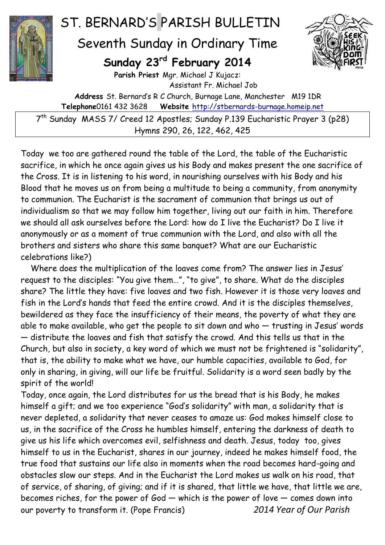

## ST. BERNARD'S PARISH BULLETIN

## Seventh Sunday in Ordinary Time

## **Sunday 23rd February 2014**



**Parish Priest** Mgr. Michael J Kujacz: Assistant Fr. Michael Job

**Address** St. Bernard's R C Church, Burnage Lane, Manchester M19 1DR **Telephone**0161 432 3628 **Website** [http://stbernards-burnage.homeip.net](http://stbernards-burnage.homeip.net/)

7 th Sunday MASS 7/ Creed 12 Apostles; Sunday P.139 Eucharistic Prayer 3 (p28) Hymns 290, 26, 122, 462, 425

Today we too are gathered round the table of the Lord, the table of the Eucharistic sacrifice, in which he once again gives us his Body and makes present the one sacrifice of the Cross. It is in listening to his word, in nourishing ourselves with his Body and his Blood that he moves us on from being a multitude to being a community, from anonymity to communion. The Eucharist is the sacrament of communion that brings us out of individualism so that we may follow him together, living out our faith in him. Therefore we should all ask ourselves before the Lord: how do I live the Eucharist? Do I live it anonymously or as a moment of true communion with the Lord, and also with all the brothers and sisters who share this same banquet? What are our Eucharistic celebrations like?)

 Where does the multiplication of the loaves come from? The answer lies in Jesus' request to the disciples: "You give them…", "to give", to share. What do the disciples share? The little they have: five loaves and two fish. However it is those very loaves and fish in the Lord's hands that feed the entire crowd. And it is the disciples themselves, bewildered as they face the insufficiency of their means, the poverty of what they are able to make available, who get the people to sit down and who — trusting in Jesus' words — distribute the loaves and fish that satisfy the crowd. And this tells us that in the Church, but also in society, a key word of which we must not be frightened is "solidarity", that is, the ability to make what we have, our humble capacities, available to God, for only in sharing, in giving, will our life be fruitful. Solidarity is a word seen badly by the spirit of the world!

Today, once again, the Lord distributes for us the bread that is his Body, he makes himself a gift; and we too experience "God's solidarity" with man, a solidarity that is never depleted, a solidarity that never ceases to amaze us: God makes himself close to us, in the sacrifice of the Cross he humbles himself, entering the darkness of death to give us his life which overcomes evil, selfishness and death. Jesus, today too, gives himself to us in the Eucharist, shares in our journey, indeed he makes himself food, the true food that sustains our life also in moments when the road becomes hard-going and obstacles slow our steps. And in the Eucharist the Lord makes us walk on his road, that of service, of sharing, of giving; and if it is shared, that little we have, that little we are, becomes riches, for the power of God — which is the power of love — comes down into our poverty to transform it. (Pope Francis) *2014 Year of Our Parish*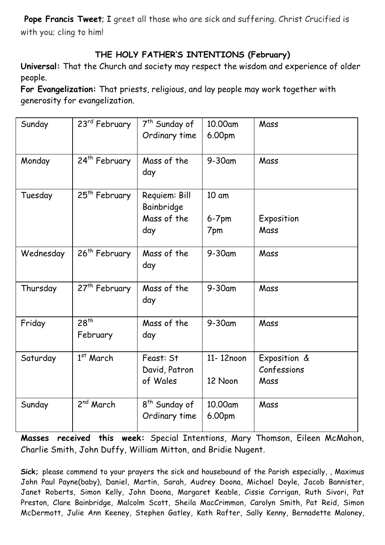**Pope Francis Tweet**; I greet all those who are sick and suffering. Christ Crucified is with you; cling to him!

## **THE HOLY FATHER'S INTENTIONS (February)**

**Universal:** That the Church and society may respect the wisdom and experience of older people.

**For Evangelization:** That priests, religious, and lay people may work together with generosity for evangelization.

| Sunday    | 23 <sup>rd</sup> February | 7 <sup>th</sup> Sunday of                  | 10.00am           | Mass                        |
|-----------|---------------------------|--------------------------------------------|-------------------|-----------------------------|
|           |                           | Ordinary time                              | 6.00pm            |                             |
| Monday    | 24th February             | Mass of the<br>day                         | $9-30$ am         | Mass                        |
| Tuesday   | 25 <sup>th</sup> February | Requiem: Bill<br>Bainbridge                | 10 am             |                             |
|           |                           | Mass of the                                | $6-7$ pm          | Exposition                  |
|           |                           | day                                        | 7pm               | Mass                        |
| Wednesday | 26 <sup>th</sup> February | Mass of the<br>day                         | $9-30$ am         | Mass                        |
| Thursday  | 27 <sup>th</sup> February | Mass of the<br>day                         | $9-30$ am         | Mass                        |
| Friday    | $28^{th}$<br>February     | Mass of the<br>day                         | 9-30am            | Mass                        |
| Saturday  | $1st$ March               | Feast: St<br>David, Patron                 | 11-12noon         | Exposition &<br>Confessions |
|           |                           | of Wales                                   | 12 Noon           | Mass                        |
| Sunday    | 2 <sup>nd</sup> March     | 8 <sup>th</sup> Sunday of<br>Ordinary time | 10.00am<br>6.00pm | Mass                        |

**Masses received this week:** Special Intentions, Mary Thomson, Eileen McMahon, Charlie Smith, John Duffy, William Mitton, and Bridie Nugent.

**Sick;** please commend to your prayers the sick and housebound of the Parish especially, , Maximus John Paul Payne(baby), Daniel, Martin, Sarah, Audrey Doona, Michael Doyle, Jacob Bannister, Janet Roberts, Simon Kelly, John Doona, Margaret Keable, Cissie Corrigan, Ruth Sivori, Pat Preston, Clare Bainbridge, Malcolm Scott, Sheila MacCrimmon, Carolyn Smith, Pat Reid, Simon McDermott, Julie Ann Keeney, Stephen Gatley, Kath Rafter, Sally Kenny, Bernadette Maloney,